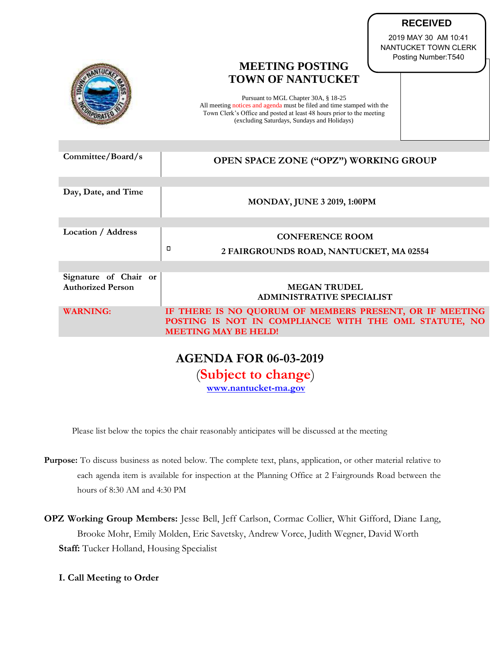|                                                   | NANTUCKET TOWN CLERK<br>Posting Number: T540<br><b>MEETING POSTING</b><br><b>TOWN OF NANTUCKET</b><br>Pursuant to MGL Chapter 30A, § 18-25<br>All meeting notices and agenda must be filed and time stamped with the<br>Town Clerk's Office and posted at least 48 hours prior to the meeting<br>(excluding Saturdays, Sundays and Holidays) |
|---------------------------------------------------|----------------------------------------------------------------------------------------------------------------------------------------------------------------------------------------------------------------------------------------------------------------------------------------------------------------------------------------------|
| Committee/Board/s                                 | OPEN SPACE ZONE ("OPZ") WORKING GROUP                                                                                                                                                                                                                                                                                                        |
| Day, Date, and Time                               | <b>MONDAY, JUNE 3 2019, 1:00PM</b>                                                                                                                                                                                                                                                                                                           |
| Location / Address                                | <b>CONFERENCE ROOM</b>                                                                                                                                                                                                                                                                                                                       |
|                                                   | о<br>2 FAIRGROUNDS ROAD, NANTUCKET, MA 02554                                                                                                                                                                                                                                                                                                 |
|                                                   |                                                                                                                                                                                                                                                                                                                                              |
| Signature of Chair or<br><b>Authorized Person</b> | <b>MEGAN TRUDEL</b><br><b>ADMINISTRATIVE SPECIALIST</b>                                                                                                                                                                                                                                                                                      |
| <b>WARNING:</b>                                   | IF THERE IS NO QUORUM OF MEMBERS PRESENT, OR IF MEETING<br>POSTING IS NOT IN COMPLIANCE WITH THE OML STATUTE, NO<br><b>MEETING MAY BE HELD!</b>                                                                                                                                                                                              |
|                                                   | <b>AGENDA FOR 06-03-2019</b><br>$\sqrt{2}$ and $\sqrt{2}$                                                                                                                                                                                                                                                                                    |

**RECEIVED** 2019 MAY 30 AM 10:41

(**Subject to change**)

**[www.nantucket-ma.gov](http://www.nantucket-ma.gov/)**

Please list below the topics the chair reasonably anticipates will be discussed at the meeting

- **Purpose:** To discuss business as noted below. The complete text, plans, application, or other material relative to each agenda item is available for inspection at the Planning Office at 2 Fairgrounds Road between the hours of 8:30 AM and 4:30 PM
- **OPZ Working Group Members:** Jesse Bell, Jeff Carlson, Cormac Collier, Whit Gifford, Diane Lang, Brooke Mohr, Emily Molden, Eric Savetsky, Andrew Vorce, Judith Wegner, David Worth **Staff:** Tucker Holland, Housing Specialist
	- **I. Call Meeting to Order**